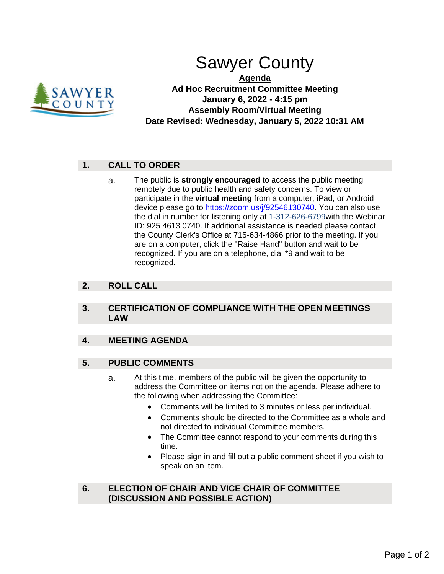

# Sawyer County

**Agenda Ad Hoc Recruitment Committee Meeting January 6, 2022 - 4:15 pm Assembly Room/Virtual Meeting Date Revised: Wednesday, January 5, 2022 10:31 AM**

## **1. CALL TO ORDER**

a. The public is **strongly encouraged** to access the public meeting remotely due to public health and safety concerns. To view or participate in the **virtual meeting** from a computer, iPad, or Android device please go to https://zoom.us/j/92546130740. You can also use the dial in number for listening only at 1-312-626-6799with the Webinar ID: 925 4613 0740. If additional assistance is needed please contact the County Clerk's Office at 715-634-4866 prior to the meeting. If you are on a computer, click the "Raise Hand" button and wait to be recognized. If you are on a telephone, dial \*9 and wait to be recognized.

## **2. ROLL CALL**

#### **3. CERTIFICATION OF COMPLIANCE WITH THE OPEN MEETINGS LAW**

## **4. MEETING AGENDA**

### **5. PUBLIC COMMENTS**

- a. At this time, members of the public will be given the opportunity to address the Committee on items not on the agenda. Please adhere to the following when addressing the Committee:
	- Comments will be limited to 3 minutes or less per individual.
	- Comments should be directed to the Committee as a whole and not directed to individual Committee members.
	- The Committee cannot respond to your comments during this time.
	- Please sign in and fill out a public comment sheet if you wish to speak on an item.

### **6. ELECTION OF CHAIR AND VICE CHAIR OF COMMITTEE (DISCUSSION AND POSSIBLE ACTION)**